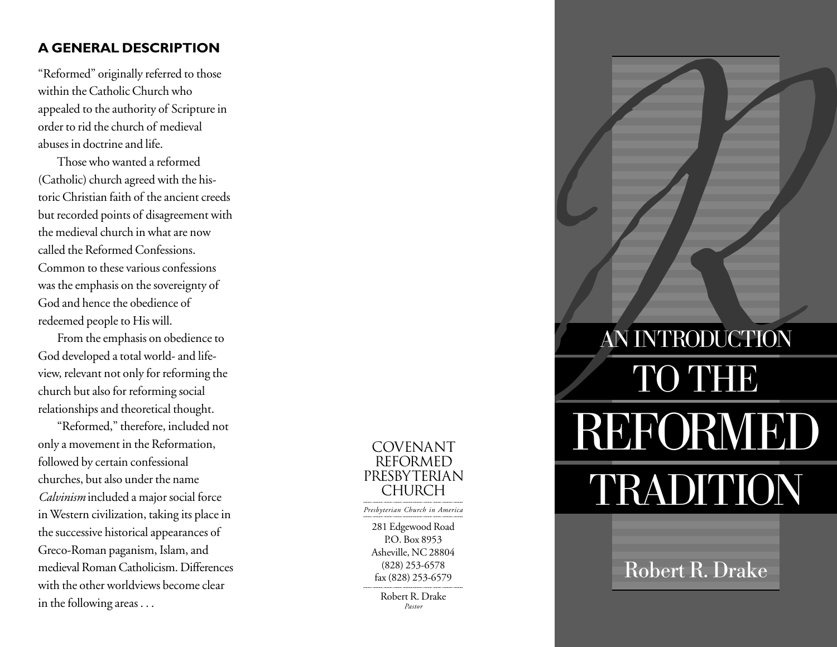# **A GENERAL DESCRIPTION**

"Reformed" originally referred to those within the Catholic Church who appealed to the authority of Scripture in order to rid the church of medieval abuses in doctrine and life.

Those who wanted a reformed (Catholic) church agreed with the historic Christian faith of the ancient creeds but recorded points of disagreement with the medieval church in what are now called the Reformed Confessions. Common to these various confessions was the emphasis on the sovereignty of God and hence the obedience of redeemed people to His will.

From the emphasis on obedience to God developed a total world- and lifeview, relevant not only for reforming the church but also for reforming social relationships and theoretical thought.

"Reformed," therefore, included not only a movement in the Reformation, followed by certain confessional churches, but also under the name *Calvinism* included a major social force in Western civilization, taking its place in the successive historical appearances of Greco-Roman paganism, Islam, and medieval Roman Catholicism. Differences with the other worldviews become clear in the following areas . . .



# **REFORMEL** AN INTRODUCTION REFORMED TRADITION

Robert R. Drake